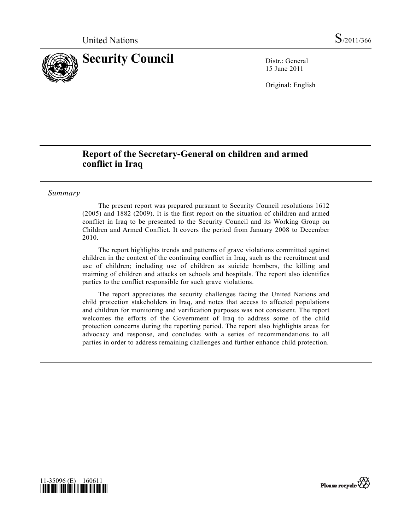

15 June 2011

Original: English

# **Report of the Secretary-General on children and armed conflict in Iraq**

## *Summary*

 The present report was prepared pursuant to Security Council resolutions 1612 (2005) and 1882 (2009). It is the first report on the situation of children and armed conflict in Iraq to be presented to the Security Council and its Working Group on Children and Armed Conflict. It covers the period from January 2008 to December 2010.

 The report highlights trends and patterns of grave violations committed against children in the context of the continuing conflict in Iraq, such as the recruitment and use of children; including use of children as suicide bombers, the killing and maiming of children and attacks on schools and hospitals. The report also identifies parties to the conflict responsible for such grave violations.

 The report appreciates the security challenges facing the United Nations and child protection stakeholders in Iraq, and notes that access to affected populations and children for monitoring and verification purposes was not consistent. The report welcomes the efforts of the Government of Iraq to address some of the child protection concerns during the reporting period. The report also highlights areas for advocacy and response, and concludes with a series of recommendations to all parties in order to address remaining challenges and further enhance child protection.



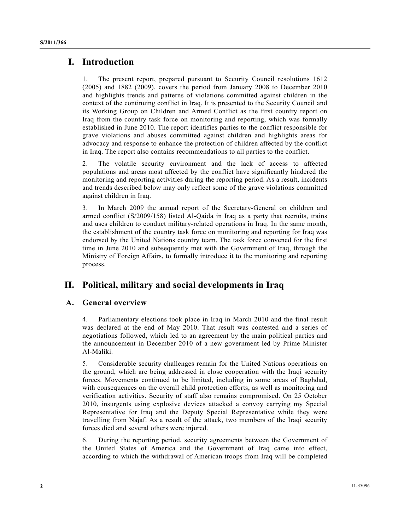## **I. Introduction**

1. The present report, prepared pursuant to Security Council resolutions 1612 (2005) and 1882 (2009), covers the period from January 2008 to December 2010 and highlights trends and patterns of violations committed against children in the context of the continuing conflict in Iraq. It is presented to the Security Council and its Working Group on Children and Armed Conflict as the first country report on Iraq from the country task force on monitoring and reporting, which was formally established in June 2010. The report identifies parties to the conflict responsible for grave violations and abuses committed against children and highlights areas for advocacy and response to enhance the protection of children affected by the conflict in Iraq. The report also contains recommendations to all parties to the conflict.

2. The volatile security environment and the lack of access to affected populations and areas most affected by the conflict have significantly hindered the monitoring and reporting activities during the reporting period. As a result, incidents and trends described below may only reflect some of the grave violations committed against children in Iraq.

3. In March 2009 the annual report of the Secretary-General on children and armed conflict (S/2009/158) listed Al-Qaida in Iraq as a party that recruits, trains and uses children to conduct military-related operations in Iraq. In the same month, the establishment of the country task force on monitoring and reporting for Iraq was endorsed by the United Nations country team. The task force convened for the first time in June 2010 and subsequently met with the Government of Iraq, through the Ministry of Foreign Affairs, to formally introduce it to the monitoring and reporting process.

# **II. Political, military and social developments in Iraq**

### **A. General overview**

4. Parliamentary elections took place in Iraq in March 2010 and the final result was declared at the end of May 2010. That result was contested and a series of negotiations followed, which led to an agreement by the main political parties and the announcement in December 2010 of a new government led by Prime Minister Al-Maliki.

5. Considerable security challenges remain for the United Nations operations on the ground, which are being addressed in close cooperation with the Iraqi security forces. Movements continued to be limited, including in some areas of Baghdad, with consequences on the overall child protection efforts, as well as monitoring and verification activities. Security of staff also remains compromised. On 25 October 2010, insurgents using explosive devices attacked a convoy carrying my Special Representative for Iraq and the Deputy Special Representative while they were travelling from Najaf. As a result of the attack, two members of the Iraqi security forces died and several others were injured.

6. During the reporting period, security agreements between the Government of the United States of America and the Government of Iraq came into effect, according to which the withdrawal of American troops from Iraq will be completed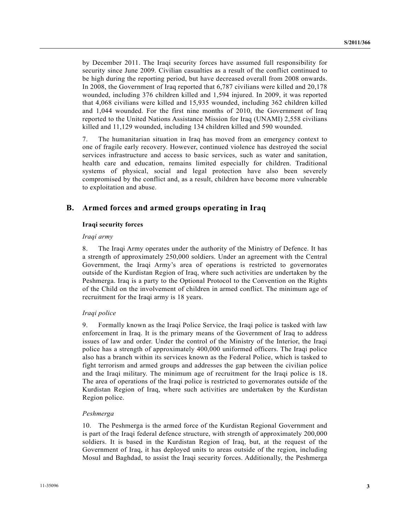by December 2011. The Iraqi security forces have assumed full responsibility for security since June 2009. Civilian casualties as a result of the conflict continued to be high during the reporting period, but have decreased overall from 2008 onwards. In 2008, the Government of Iraq reported that 6,787 civilians were killed and 20,178 wounded, including 376 children killed and 1,594 injured. In 2009, it was reported that 4,068 civilians were killed and 15,935 wounded, including 362 children killed and 1,044 wounded. For the first nine months of 2010, the Government of Iraq reported to the United Nations Assistance Mission for Iraq (UNAMI) 2,558 civilians killed and 11,129 wounded, including 134 children killed and 590 wounded.

7. The humanitarian situation in Iraq has moved from an emergency context to one of fragile early recovery. However, continued violence has destroyed the social services infrastructure and access to basic services, such as water and sanitation, health care and education, remains limited especially for children. Traditional systems of physical, social and legal protection have also been severely compromised by the conflict and, as a result, children have become more vulnerable to exploitation and abuse.

## **B. Armed forces and armed groups operating in Iraq**

### **Iraqi security forces**

#### *Iraqi army*

8. The Iraqi Army operates under the authority of the Ministry of Defence. It has a strength of approximately 250,000 soldiers. Under an agreement with the Central Government, the Iraqi Army's area of operations is restricted to governorates outside of the Kurdistan Region of Iraq, where such activities are undertaken by the Peshmerga. Iraq is a party to the Optional Protocol to the Convention on the Rights of the Child on the involvement of children in armed conflict. The minimum age of recruitment for the Iraqi army is 18 years.

### *Iraqi police*

9. Formally known as the Iraqi Police Service, the Iraqi police is tasked with law enforcement in Iraq. It is the primary means of the Government of Iraq to address issues of law and order. Under the control of the Ministry of the Interior, the Iraqi police has a strength of approximately 400,000 uniformed officers. The Iraqi police also has a branch within its services known as the Federal Police, which is tasked to fight terrorism and armed groups and addresses the gap between the civilian police and the Iraqi military. The minimum age of recruitment for the Iraqi police is 18. The area of operations of the Iraqi police is restricted to governorates outside of the Kurdistan Region of Iraq, where such activities are undertaken by the Kurdistan Region police.

#### *Peshmerga*

10. The Peshmerga is the armed force of the Kurdistan Regional Government and is part of the Iraqi federal defence structure, with strength of approximately 200,000 soldiers. It is based in the Kurdistan Region of Iraq, but, at the request of the Government of Iraq, it has deployed units to areas outside of the region, including Mosul and Baghdad, to assist the Iraqi security forces. Additionally, the Peshmerga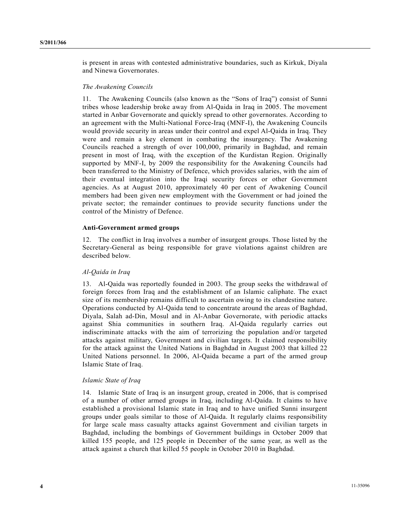is present in areas with contested administrative boundaries, such as Kirkuk, Diyala and Ninewa Governorates.

### *The Awakening Councils*

11. The Awakening Councils (also known as the "Sons of Iraq") consist of Sunni tribes whose leadership broke away from Al-Qaida in Iraq in 2005. The movement started in Anbar Governorate and quickly spread to other governorates. According to an agreement with the Multi-National Force-Iraq (MNF-I), the Awakening Councils would provide security in areas under their control and expel Al-Qaida in Iraq. They were and remain a key element in combating the insurgency. The Awakening Councils reached a strength of over 100,000, primarily in Baghdad, and remain present in most of Iraq, with the exception of the Kurdistan Region. Originally supported by MNF-I, by 2009 the responsibility for the Awakening Councils had been transferred to the Ministry of Defence, which provides salaries, with the aim of their eventual integration into the Iraqi security forces or other Government agencies. As at August 2010, approximately 40 per cent of Awakening Council members had been given new employment with the Government or had joined the private sector; the remainder continues to provide security functions under the control of the Ministry of Defence.

### **Anti-Government armed groups**

12. The conflict in Iraq involves a number of insurgent groups. Those listed by the Secretary-General as being responsible for grave violations against children are described below.

### *Al-Qaida in Iraq*

13. Al-Qaida was reportedly founded in 2003. The group seeks the withdrawal of foreign forces from Iraq and the establishment of an Islamic caliphate. The exact size of its membership remains difficult to ascertain owing to its clandestine nature. Operations conducted by Al-Qaida tend to concentrate around the areas of Baghdad, Diyala, Salah ad-Din, Mosul and in Al-Anbar Governorate, with periodic attacks against Shia communities in southern Iraq. Al-Qaida regularly carries out indiscriminate attacks with the aim of terrorizing the population and/or targeted attacks against military, Government and civilian targets. It claimed responsibility for the attack against the United Nations in Baghdad in August 2003 that killed 22 United Nations personnel. In 2006, Al-Qaida became a part of the armed group Islamic State of Iraq.

### *Islamic State of Iraq*

14. Islamic State of Iraq is an insurgent group, created in 2006, that is comprised of a number of other armed groups in Iraq, including Al-Qaida. It claims to have established a provisional Islamic state in Iraq and to have unified Sunni insurgent groups under goals similar to those of Al-Qaida. It regularly claims responsibility for large scale mass casualty attacks against Government and civilian targets in Baghdad, including the bombings of Government buildings in October 2009 that killed 155 people, and 125 people in December of the same year, as well as the attack against a church that killed 55 people in October 2010 in Baghdad.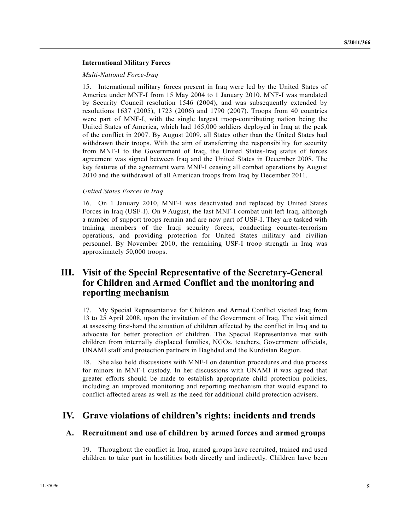### **International Military Forces**

### *Multi-National Force-Iraq*

15. International military forces present in Iraq were led by the United States of America under MNF-I from 15 May 2004 to 1 January 2010. MNF-I was mandated by Security Council resolution 1546 (2004), and was subsequently extended by resolutions 1637 (2005), 1723 (2006) and 1790 (2007). Troops from 40 countries were part of MNF-I, with the single largest troop-contributing nation being the United States of America, which had 165,000 soldiers deployed in Iraq at the peak of the conflict in 2007. By August 2009, all States other than the United States had withdrawn their troops. With the aim of transferring the responsibility for security from MNF-I to the Government of Iraq, the United States-Iraq status of forces agreement was signed between Iraq and the United States in December 2008. The key features of the agreement were MNF-I ceasing all combat operations by August 2010 and the withdrawal of all American troops from Iraq by December 2011.

### *United States Forces in Iraq*

16. On 1 January 2010, MNF-I was deactivated and replaced by United States Forces in Iraq (USF-I). On 9 August, the last MNF-I combat unit left Iraq, although a number of support troops remain and are now part of USF-I. They are tasked with training members of the Iraqi security forces, conducting counter-terrorism operations, and providing protection for United States military and civilian personnel. By November 2010, the remaining USF-I troop strength in Iraq was approximately 50,000 troops.

# **III. Visit of the Special Representative of the Secretary-General for Children and Armed Conflict and the monitoring and reporting mechanism**

17. My Special Representative for Children and Armed Conflict visited Iraq from 13 to 25 April 2008, upon the invitation of the Government of Iraq. The visit aimed at assessing first-hand the situation of children affected by the conflict in Iraq and to advocate for better protection of children. The Special Representative met with children from internally displaced families, NGOs, teachers, Government officials, UNAMI staff and protection partners in Baghdad and the Kurdistan Region.

18. She also held discussions with MNF-I on detention procedures and due process for minors in MNF-I custody. In her discussions with UNAMI it was agreed that greater efforts should be made to establish appropriate child protection policies, including an improved monitoring and reporting mechanism that would expand to conflict-affected areas as well as the need for additional child protection advisers.

## **IV. Grave violations of children's rights: incidents and trends**

### **A. Recruitment and use of children by armed forces and armed groups**

19. Throughout the conflict in Iraq, armed groups have recruited, trained and used children to take part in hostilities both directly and indirectly. Children have been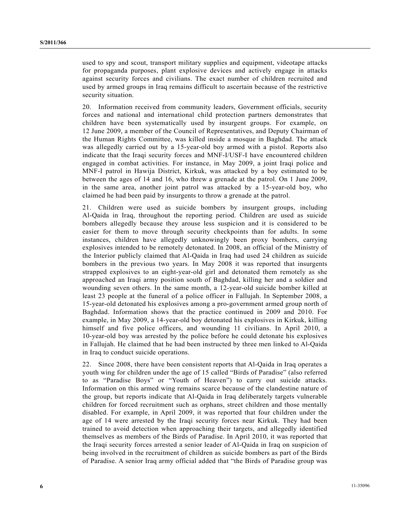used to spy and scout, transport military supplies and equipment, videotape attacks for propaganda purposes, plant explosive devices and actively engage in attacks against security forces and civilians. The exact number of children recruited and used by armed groups in Iraq remains difficult to ascertain because of the restrictive security situation.

20. Information received from community leaders, Government officials, security forces and national and international child protection partners demonstrates that children have been systematically used by insurgent groups. For example, on 12 June 2009, a member of the Council of Representatives, and Deputy Chairman of the Human Rights Committee, was killed inside a mosque in Baghdad. The attack was allegedly carried out by a 15-year-old boy armed with a pistol. Reports also indicate that the Iraqi security forces and MNF-I/USF-I have encountered children engaged in combat activities. For instance, in May 2009, a joint Iraqi police and MNF-I patrol in Hawija District, Kirkuk, was attacked by a boy estimated to be between the ages of 14 and 16, who threw a grenade at the patrol. On 1 June 2009, in the same area, another joint patrol was attacked by a 15-year-old boy, who claimed he had been paid by insurgents to throw a grenade at the patrol.

21. Children were used as suicide bombers by insurgent groups, including Al-Qaida in Iraq, throughout the reporting period. Children are used as suicide bombers allegedly because they arouse less suspicion and it is considered to be easier for them to move through security checkpoints than for adults. In some instances, children have allegedly unknowingly been proxy bombers, carrying explosives intended to be remotely detonated. In 2008, an official of the Ministry of the Interior publicly claimed that Al-Qaida in Iraq had used 24 children as suicide bombers in the previous two years. In May 2008 it was reported that insurgents strapped explosives to an eight-year-old girl and detonated them remotely as she approached an Iraqi army position south of Baghdad, killing her and a soldier and wounding seven others. In the same month, a 12-year-old suicide bomber killed at least 23 people at the funeral of a police officer in Fallujah. In September 2008, a 15-year-old detonated his explosives among a pro-government armed group north of Baghdad. Information shows that the practice continued in 2009 and 2010. For example, in May 2009, a 14-year-old boy detonated his explosives in Kirkuk, killing himself and five police officers, and wounding 11 civilians. In April 2010, a 10-year-old boy was arrested by the police before he could detonate his explosives in Fallujah. He claimed that he had been instructed by three men linked to Al-Qaida in Iraq to conduct suicide operations.

22. Since 2008, there have been consistent reports that Al-Qaida in Iraq operates a youth wing for children under the age of 15 called "Birds of Paradise" (also referred to as "Paradise Boys" or "Youth of Heaven") to carry out suicide attacks. Information on this armed wing remains scarce because of the clandestine nature of the group, but reports indicate that Al-Qaida in Iraq deliberately targets vulnerable children for forced recruitment such as orphans, street children and those mentally disabled. For example, in April 2009, it was reported that four children under the age of 14 were arrested by the Iraqi security forces near Kirkuk. They had been trained to avoid detection when approaching their targets, and allegedly identified themselves as members of the Birds of Paradise. In April 2010, it was reported that the Iraqi security forces arrested a senior leader of Al-Qaida in Iraq on suspicion of being involved in the recruitment of children as suicide bombers as part of the Birds of Paradise. A senior Iraq army official added that "the Birds of Paradise group was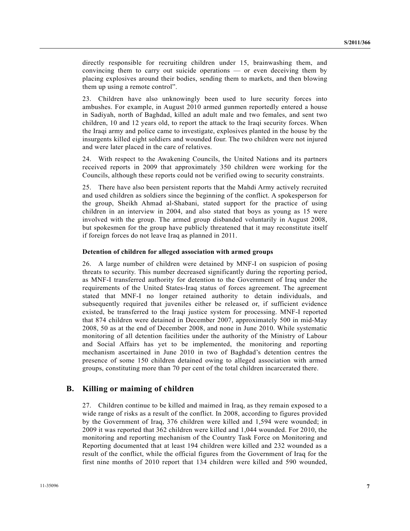directly responsible for recruiting children under 15, brainwashing them, and convincing them to carry out suicide operations — or even deceiving them by placing explosives around their bodies, sending them to markets, and then blowing them up using a remote control".

23. Children have also unknowingly been used to lure security forces into ambushes. For example, in August 2010 armed gunmen reportedly entered a house in Sadiyah, north of Baghdad, killed an adult male and two females, and sent two children, 10 and 12 years old, to report the attack to the Iraqi security forces. When the Iraqi army and police came to investigate, explosives planted in the house by the insurgents killed eight soldiers and wounded four. The two children were not injured and were later placed in the care of relatives.

24. With respect to the Awakening Councils, the United Nations and its partners received reports in 2009 that approximately 350 children were working for the Councils, although these reports could not be verified owing to security constraints.

25. There have also been persistent reports that the Mahdi Army actively recruited and used children as soldiers since the beginning of the conflict. A spokesperson for the group, Sheikh Ahmad al-Shabani, stated support for the practice of using children in an interview in 2004, and also stated that boys as young as 15 were involved with the group. The armed group disbanded voluntarily in August 2008, but spokesmen for the group have publicly threatened that it may reconstitute itself if foreign forces do not leave Iraq as planned in 2011.

#### **Detention of children for alleged association with armed groups**

26. A large number of children were detained by MNF-I on suspicion of posing threats to security. This number decreased significantly during the reporting period, as MNF-I transferred authority for detention to the Government of Iraq under the requirements of the United States-Iraq status of forces agreement. The agreement stated that MNF-I no longer retained authority to detain individuals, and subsequently required that juveniles either be released or, if sufficient evidence existed, be transferred to the Iraqi justice system for processing. MNF-I reported that 874 children were detained in December 2007, approximately 500 in mid-May 2008, 50 as at the end of December 2008, and none in June 2010. While systematic monitoring of all detention facilities under the authority of the Ministry of Labour and Social Affairs has yet to be implemented, the monitoring and reporting mechanism ascertained in June 2010 in two of Baghdad's detention centres the presence of some 150 children detained owing to alleged association with armed groups, constituting more than 70 per cent of the total children incarcerated there.

### **B. Killing or maiming of children**

27. Children continue to be killed and maimed in Iraq, as they remain exposed to a wide range of risks as a result of the conflict. In 2008, according to figures provided by the Government of Iraq, 376 children were killed and 1,594 were wounded; in 2009 it was reported that 362 children were killed and 1,044 wounded. For 2010, the monitoring and reporting mechanism of the Country Task Force on Monitoring and Reporting documented that at least 194 children were killed and 232 wounded as a result of the conflict, while the official figures from the Government of Iraq for the first nine months of 2010 report that 134 children were killed and 590 wounded,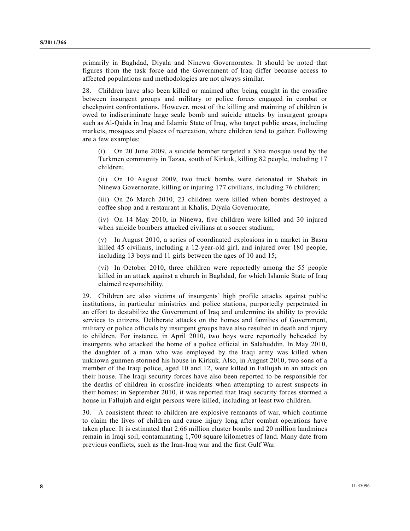primarily in Baghdad, Diyala and Ninewa Governorates. It should be noted that figures from the task force and the Government of Iraq differ because access to affected populations and methodologies are not always similar.

28. Children have also been killed or maimed after being caught in the crossfire between insurgent groups and military or police forces engaged in combat or checkpoint confrontations. However, most of the killing and maiming of children is owed to indiscriminate large scale bomb and suicide attacks by insurgent groups such as Al-Qaida in Iraq and Islamic State of Iraq, who target public areas, including markets, mosques and places of recreation, where children tend to gather. Following are a few examples:

 (i) On 20 June 2009, a suicide bomber targeted a Shia mosque used by the Turkmen community in Tazaa, south of Kirkuk, killing 82 people, including 17 children;

 (ii) On 10 August 2009, two truck bombs were detonated in Shabak in Ninewa Governorate, killing or injuring 177 civilians, including 76 children;

 (iii) On 26 March 2010, 23 children were killed when bombs destroyed a coffee shop and a restaurant in Khalis, Diyala Governorate;

 (iv) On 14 May 2010, in Ninewa, five children were killed and 30 injured when suicide bombers attacked civilians at a soccer stadium;

 (v) In August 2010, a series of coordinated explosions in a market in Basra killed 45 civilians, including a 12-year-old girl, and injured over 180 people, including 13 boys and 11 girls between the ages of 10 and 15;

 (vi) In October 2010, three children were reportedly among the 55 people killed in an attack against a church in Baghdad, for which Islamic State of Iraq claimed responsibility.

29. Children are also victims of insurgents' high profile attacks against public institutions, in particular ministries and police stations, purportedly perpetrated in an effort to destabilize the Government of Iraq and undermine its ability to provide services to citizens. Deliberate attacks on the homes and families of Government, military or police officials by insurgent groups have also resulted in death and injury to children. For instance, in April 2010, two boys were reportedly beheaded by insurgents who attacked the home of a police official in Salahuddin. In May 2010, the daughter of a man who was employed by the Iraqi army was killed when unknown gunmen stormed his house in Kirkuk. Also, in August 2010, two sons of a member of the Iraqi police, aged 10 and 12, were killed in Fallujah in an attack on their house. The Iraqi security forces have also been reported to be responsible for the deaths of children in crossfire incidents when attempting to arrest suspects in their homes: in September 2010, it was reported that Iraqi security forces stormed a house in Fallujah and eight persons were killed, including at least two children.

30. A consistent threat to children are explosive remnants of war, which continue to claim the lives of children and cause injury long after combat operations have taken place. It is estimated that 2.66 million cluster bombs and 20 million landmines remain in Iraqi soil, contaminating 1,700 square kilometres of land. Many date from previous conflicts, such as the Iran-Iraq war and the first Gulf War.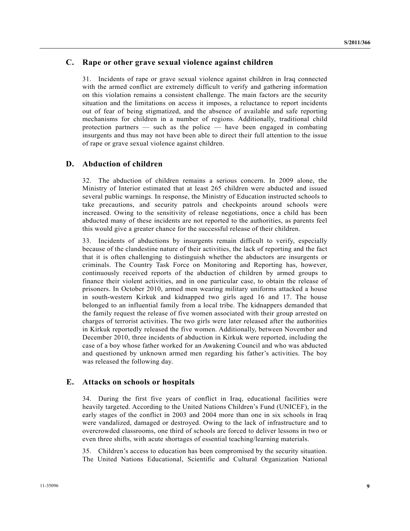## **C. Rape or other grave sexual violence against children**

31. Incidents of rape or grave sexual violence against children in Iraq connected with the armed conflict are extremely difficult to verify and gathering information on this violation remains a consistent challenge. The main factors are the security situation and the limitations on access it imposes, a reluctance to report incidents out of fear of being stigmatized, and the absence of available and safe reporting mechanisms for children in a number of regions. Additionally, traditional child protection partners — such as the police — have been engaged in combating insurgents and thus may not have been able to direct their full attention to the issue of rape or grave sexual violence against children.

## **D. Abduction of children**

32. The abduction of children remains a serious concern. In 2009 alone, the Ministry of Interior estimated that at least 265 children were abducted and issued several public warnings. In response, the Ministry of Education instructed schools to take precautions, and security patrols and checkpoints around schools were increased. Owing to the sensitivity of release negotiations, once a child has been abducted many of these incidents are not reported to the authorities, as parents feel this would give a greater chance for the successful release of their children.

33. Incidents of abductions by insurgents remain difficult to verify, especially because of the clandestine nature of their activities, the lack of reporting and the fact that it is often challenging to distinguish whether the abductors are insurgents or criminals. The Country Task Force on Monitoring and Reporting has, however, continuously received reports of the abduction of children by armed groups to finance their violent activities, and in one particular case, to obtain the release of prisoners. In October 2010, armed men wearing military uniforms attacked a house in south-western Kirkuk and kidnapped two girls aged 16 and 17. The house belonged to an influential family from a local tribe. The kidnappers demanded that the family request the release of five women associated with their group arrested on charges of terrorist activities. The two girls were later released after the authorities in Kirkuk reportedly released the five women. Additionally, between November and December 2010, three incidents of abduction in Kirkuk were reported, including the case of a boy whose father worked for an Awakening Council and who was abducted and questioned by unknown armed men regarding his father's activities. The boy was released the following day.

### **E. Attacks on schools or hospitals**

34. During the first five years of conflict in Iraq, educational facilities were heavily targeted. According to the United Nations Children's Fund (UNICEF), in the early stages of the conflict in 2003 and 2004 more than one in six schools in Iraq were vandalized, damaged or destroyed. Owing to the lack of infrastructure and to overcrowded classrooms, one third of schools are forced to deliver lessons in two or even three shifts, with acute shortages of essential teaching/learning materials.

35. Children's access to education has been compromised by the security situation. The United Nations Educational, Scientific and Cultural Organization National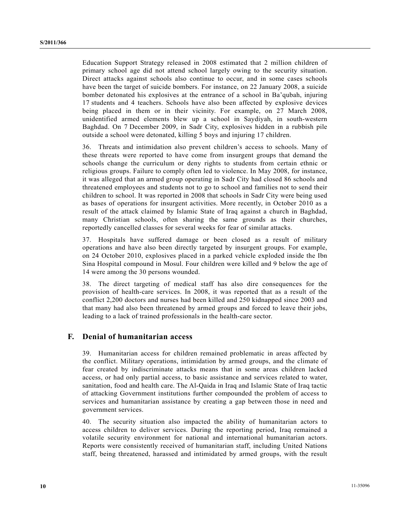Education Support Strategy released in 2008 estimated that 2 million children of primary school age did not attend school largely owing to the security situation. Direct attacks against schools also continue to occur, and in some cases schools have been the target of suicide bombers. For instance, on 22 January 2008, a suicide bomber detonated his explosives at the entrance of a school in Ba'qubah, injuring 17 students and 4 teachers. Schools have also been affected by explosive devices being placed in them or in their vicinity. For example, on 27 March 2008, unidentified armed elements blew up a school in Saydiyah, in south-western Baghdad. On 7 December 2009, in Sadr City, explosives hidden in a rubbish pile outside a school were detonated, killing 5 boys and injuring 17 children.

36. Threats and intimidation also prevent children's access to schools. Many of these threats were reported to have come from insurgent groups that demand the schools change the curriculum or deny rights to students from certain ethnic or religious groups. Failure to comply often led to violence. In May 2008, for instance, it was alleged that an armed group operating in Sadr City had closed 86 schools and threatened employees and students not to go to school and families not to send their children to school. It was reported in 2008 that schools in Sadr City were being used as bases of operations for insurgent activities. More recently, in October 2010 as a result of the attack claimed by Islamic State of Iraq against a church in Baghdad, many Christian schools, often sharing the same grounds as their churches, reportedly cancelled classes for several weeks for fear of similar attacks.

37. Hospitals have suffered damage or been closed as a result of military operations and have also been directly targeted by insurgent groups. For example, on 24 October 2010, explosives placed in a parked vehicle exploded inside the Ibn Sina Hospital compound in Mosul. Four children were killed and 9 below the age of 14 were among the 30 persons wounded.

38. The direct targeting of medical staff has also dire consequences for the provision of health-care services. In 2008, it was reported that as a result of the conflict 2,200 doctors and nurses had been killed and 250 kidnapped since 2003 and that many had also been threatened by armed groups and forced to leave their jobs, leading to a lack of trained professionals in the health-care sector.

## **F. Denial of humanitarian access**

39. Humanitarian access for children remained problematic in areas affected by the conflict. Military operations, intimidation by armed groups, and the climate of fear created by indiscriminate attacks means that in some areas children lacked access, or had only partial access, to basic assistance and services related to water, sanitation, food and health care. The Al-Qaida in Iraq and Islamic State of Iraq tactic of attacking Government institutions further compounded the problem of access to services and humanitarian assistance by creating a gap between those in need and government services.

40. The security situation also impacted the ability of humanitarian actors to access children to deliver services. During the reporting period, Iraq remained a volatile security environment for national and international humanitarian actors. Reports were consistently received of humanitarian staff, including United Nations staff, being threatened, harassed and intimidated by armed groups, with the result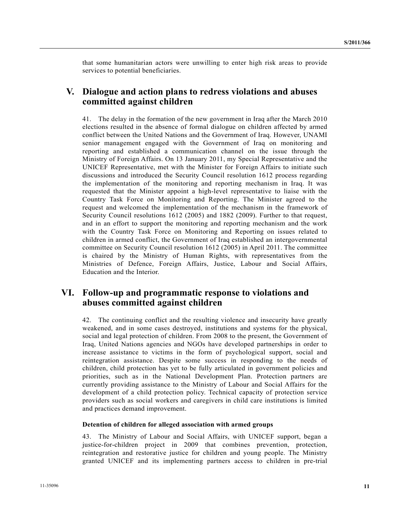that some humanitarian actors were unwilling to enter high risk areas to provide services to potential beneficiaries.

# **V. Dialogue and action plans to redress violations and abuses committed against children**

41. The delay in the formation of the new government in Iraq after the March 2010 elections resulted in the absence of formal dialogue on children affected by armed conflict between the United Nations and the Government of Iraq. However, UNAMI senior management engaged with the Government of Iraq on monitoring and reporting and established a communication channel on the issue through the Ministry of Foreign Affairs. On 13 January 2011, my Special Representative and the UNICEF Representative, met with the Minister for Foreign Affairs to initiate such discussions and introduced the Security Council resolution 1612 process regarding the implementation of the monitoring and reporting mechanism in Iraq. It was requested that the Minister appoint a high-level representative to liaise with the Country Task Force on Monitoring and Reporting. The Minister agreed to the request and welcomed the implementation of the mechanism in the framework of Security Council resolutions 1612 (2005) and 1882 (2009). Further to that request, and in an effort to support the monitoring and reporting mechanism and the work with the Country Task Force on Monitoring and Reporting on issues related to children in armed conflict, the Government of Iraq established an intergovernmental committee on Security Council resolution 1612 (2005) in April 2011. The committee is chaired by the Ministry of Human Rights, with representatives from the Ministries of Defence, Foreign Affairs, Justice, Labour and Social Affairs, Education and the Interior.

# **VI. Follow-up and programmatic response to violations and abuses committed against children**

42. The continuing conflict and the resulting violence and insecurity have greatly weakened, and in some cases destroyed, institutions and systems for the physical, social and legal protection of children. From 2008 to the present, the Government of Iraq, United Nations agencies and NGOs have developed partnerships in order to increase assistance to victims in the form of psychological support, social and reintegration assistance. Despite some success in responding to the needs of children, child protection has yet to be fully articulated in government policies and priorities, such as in the National Development Plan. Protection partners are currently providing assistance to the Ministry of Labour and Social Affairs for the development of a child protection policy. Technical capacity of protection service providers such as social workers and caregivers in child care institutions is limited and practices demand improvement.

### **Detention of children for alleged association with armed groups**

43. The Ministry of Labour and Social Affairs, with UNICEF support, began a justice-for-children project in 2009 that combines prevention, protection, reintegration and restorative justice for children and young people. The Ministry granted UNICEF and its implementing partners access to children in pre-trial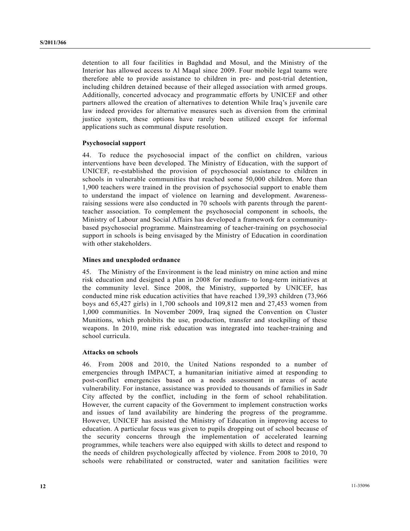detention to all four facilities in Baghdad and Mosul, and the Ministry of the Interior has allowed access to Al Maqal since 2009. Four mobile legal teams were therefore able to provide assistance to children in pre- and post-trial detention, including children detained because of their alleged association with armed groups. Additionally, concerted advocacy and programmatic efforts by UNICEF and other partners allowed the creation of alternatives to detention While Iraq's juvenile care law indeed provides for alternative measures such as diversion from the criminal justice system, these options have rarely been utilized except for informal applications such as communal dispute resolution.

### **Psychosocial support**

44. To reduce the psychosocial impact of the conflict on children, various interventions have been developed. The Ministry of Education, with the support of UNICEF, re-established the provision of psychosocial assistance to children in schools in vulnerable communities that reached some 50,000 children. More than 1,900 teachers were trained in the provision of psychosocial support to enable them to understand the impact of violence on learning and development. Awarenessraising sessions were also conducted in 70 schools with parents through the parentteacher association. To complement the psychosocial component in schools, the Ministry of Labour and Social Affairs has developed a framework for a communitybased psychosocial programme. Mainstreaming of teacher-training on psychosocial support in schools is being envisaged by the Ministry of Education in coordination with other stakeholders.

### **Mines and unexploded ordnance**

45. The Ministry of the Environment is the lead ministry on mine action and mine risk education and designed a plan in 2008 for medium- to long-term initiatives at the community level. Since 2008, the Ministry, supported by UNICEF, has conducted mine risk education activities that have reached 139,393 children (73,966 boys and 65,427 girls) in 1,700 schools and 109,812 men and 27,453 women from 1,000 communities. In November 2009, Iraq signed the Convention on Cluster Munitions, which prohibits the use, production, transfer and stockpiling of these weapons. In 2010, mine risk education was integrated into teacher-training and school curricula.

#### **Attacks on schools**

46. From 2008 and 2010, the United Nations responded to a number of emergencies through IMPACT, a humanitarian initiative aimed at responding to post-conflict emergencies based on a needs assessment in areas of acute vulnerability. For instance, assistance was provided to thousands of families in Sadr City affected by the conflict, including in the form of school rehabilitation. However, the current capacity of the Government to implement construction works and issues of land availability are hindering the progress of the programme. However, UNICEF has assisted the Ministry of Education in improving access to education. A particular focus was given to pupils dropping out of school because of the security concerns through the implementation of accelerated learning programmes, while teachers were also equipped with skills to detect and respond to the needs of children psychologically affected by violence. From 2008 to 2010, 70 schools were rehabilitated or constructed, water and sanitation facilities were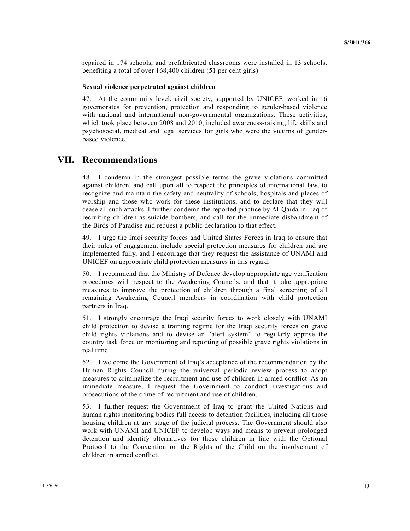repaired in 174 schools, and prefabricated classrooms were installed in 13 schools, benefiting a total of over 168,400 children (51 per cent girls).

### **Sexual violence perpetrated against children**

47. At the community level, civil society, supported by UNICEF, worked in 16 governorates for prevention, protection and responding to gender-based violence with national and international non-governmental organizations. These activities, which took place between 2008 and 2010, included awareness-raising, life skills and psychosocial, medical and legal services for girls who were the victims of genderbased violence.

## **VII. Recommendations**

48. I condemn in the strongest possible terms the grave violations committed against children, and call upon all to respect the principles of international law, to recognize and maintain the safety and neutrality of schools, hospitals and places of worship and those who work for these institutions, and to declare that they will cease all such attacks. I further condemn the reported practice by Al-Qaida in Iraq of recruiting children as suicide bombers, and call for the immediate disbandment of the Birds of Paradise and request a public declaration to that effect.

49. I urge the Iraqi security forces and United States Forces in Iraq to ensure that their rules of engagement include special protection measures for children and are implemented fully, and I encourage that they request the assistance of UNAMI and UNICEF on appropriate child protection measures in this regard.

50. I recommend that the Ministry of Defence develop appropriate age verification procedures with respect to the Awakening Councils, and that it take appropriate measures to improve the protection of children through a final screening of all remaining Awakening Council members in coordination with child protection partners in Iraq.

51. I strongly encourage the Iraqi security forces to work closely with UNAMI child protection to devise a training regime for the Iraqi security forces on grave child rights violations and to devise an "alert system" to regularly apprise the country task force on monitoring and reporting of possible grave rights violations in real time.

52. I welcome the Government of Iraq's acceptance of the recommendation by the Human Rights Council during the universal periodic review process to adopt measures to criminalize the recruitment and use of children in armed conflict. As an immediate measure, I request the Government to conduct investigations and prosecutions of the crime of recruitment and use of children.

53. I further request the Government of Iraq to grant the United Nations and human rights monitoring bodies full access to detention facilities, including all those housing children at any stage of the judicial process. The Government should also work with UNAMI and UNICEF to develop ways and means to prevent prolonged detention and identify alternatives for those children in line with the Optional Protocol to the Convention on the Rights of the Child on the involvement of children in armed conflict.